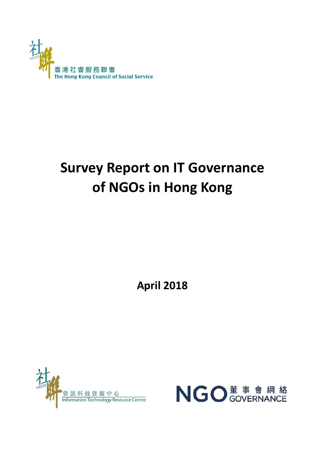

# **Survey Report on IT Governance of NGOs in Hong Kong**

**April 2018**



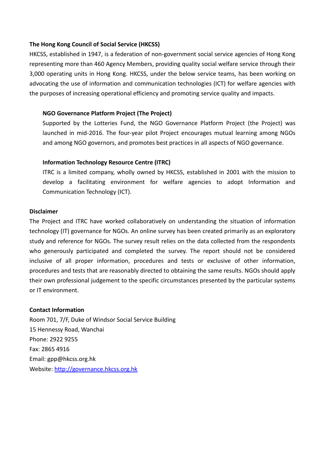# **The Hong Kong Council of Social Service (HKCSS)**

HKCSS, established in 1947, is a federation of non-government social service agencies of Hong Kong representing more than 460 Agency Members, providing quality social welfare service through their 3,000 operating units in Hong Kong. HKCSS, under the below service teams, has been working on advocating the use of information and communication technologies (ICT) for welfare agencies with the purposes of increasing operational efficiency and promoting service quality and impacts.

# **NGO Governance Platform Project (The Project)**

Supported by the Lotteries Fund, the NGO Governance Platform Project (the Project) was launched in mid-2016. The four-year pilot Project encourages mutual learning among NGOs and among NGO governors, and promotes best practices in all aspects of NGO governance.

# **Information Technology Resource Centre (ITRC)**

ITRC is a limited company, wholly owned by HKCSS, established in 2001 with the mission to develop a facilitating environment for welfare agencies to adopt Information and Communication Technology (ICT).

#### **Disclaimer**

The Project and ITRC have worked collaboratively on understanding the situation of information technology (IT) governance for NGOs. An online survey has been created primarily as an exploratory study and reference for NGOs. The survey result relies on the data collected from the respondents who generously participated and completed the survey. The report should not be considered inclusive of all proper information, procedures and tests or exclusive of other information, procedures and tests that are reasonably directed to obtaining the same results. NGOs should apply their own professional judgement to the specific circumstances presented by the particular systems or IT environment.

#### **Contact Information**

Room 701, 7/F, Duke of Windsor Social Service Building 15 Hennessy Road, Wanchai Phone: 2922 9255 Fax: 2865 4916 Email: [gpp@hkcss.org.hk](http://governance.hkcss.org.hk/en/gpp@hkcss.org.hk) Website: [http://governance.hkcss.org.hk](http://governance.hkcss.org.hk/)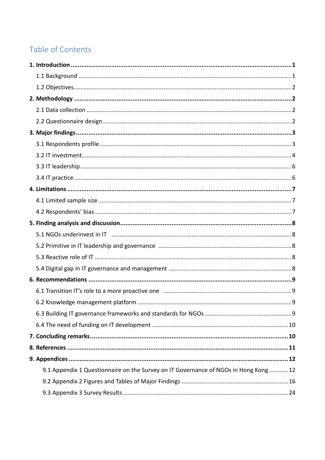# Table of Contents

| 9.1 Appendix 1 Questionnaire on the Survey on IT Governance of NGOs in Hong Kong 12 |  |
|-------------------------------------------------------------------------------------|--|
|                                                                                     |  |
|                                                                                     |  |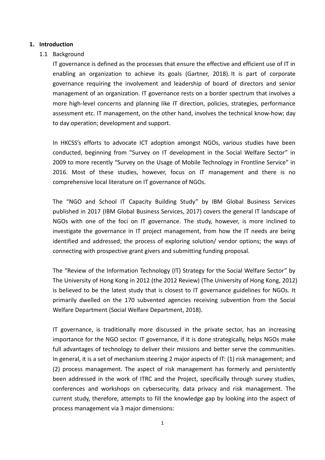# **1. Introduction**

# 1.1 Background

IT governance is defined as the processes that ensure the effective and efficient use of IT in enabling an organization to achieve its goals (Gartner, 2018). It is part of corporate governance requiring the involvement and leadership of board of directors and senior management of an organization. IT governance rests on a border spectrum that involves a more high-level concerns and planning like IT direction, policies, strategies, performance assessment etc. IT management, on the other hand, involves the technical know-how; day to day operation; development and support.

In HKCSS's efforts to advocate ICT adoption amongst NGOs, various studies have been conducted, beginning from "Survey on IT development in the Social Welfare Sector" in 2009 to more recently "Survey on the Usage of Mobile Technology in Frontline Service" in 2016. Most of these studies, however, focus on IT management and there is no comprehensive local literature on IT governance of NGOs.

The "NGO and School IT Capacity Building Study" by IBM Global Business Services published in 2017 (IBM Global Business Services, 2017) covers the general IT landscape of NGOs with one of the foci on IT governance. The study, however, is more inclined to investigate the governance in IT project management, from how the IT needs are being identified and addressed; the process of exploring solution/ vendor options; the ways of connecting with prospective grant givers and submitting funding proposal.

The "Review of the Information Technology (IT) Strategy for the Social Welfare Sector" by The University of Hong Kong in 2012 (the 2012 Review) (The University of Hong Kong, 2012) is believed to be the latest study that is closest to IT governance guidelines for NGOs. It primarily dwelled on the 170 subvented agencies receiving subvention from the Social Welfare Department (Social Welfare Department, 2018).

IT governance, is traditionally more discussed in the private sector, has an increasing importance for the NGO sector. IT governance, if it is done strategically, helps NGOs make full advantages of technology to deliver their missions and better serve the communities. In general, it is a set of mechanism steering 2 major aspects of IT: (1) risk management; and (2) process management. The aspect of risk management has formerly and persistently been addressed in the work of ITRC and the Project, specifically through survey studies, conferences and workshops on cybersecurity, data privacy and risk management. The current study, therefore, attempts to fill the knowledge gap by looking into the aspect of process management via 3 major dimensions: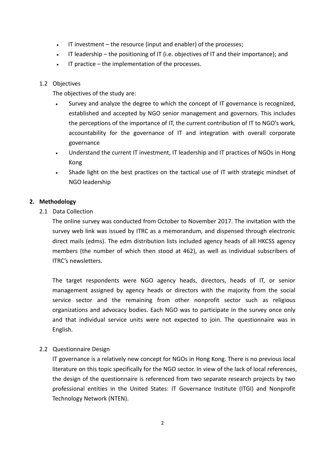- IT investment the resource (input and enabler) of the processes;
- IT leadership the positioning of IT (i.e. objectives of IT and their importance); and
- $\cdot$  IT practice the implementation of the processes.

# 1.2 Objectives

The objectives of the study are:

- Survey and analyze the degree to which the concept of IT governance is recognized, established and accepted by NGO senior management and governors. This includes the perceptions of the importance of IT, the current contribution of IT to NGO's work, accountability for the governance of IT and integration with overall corporate governance
- Understand the current IT investment, IT leadership and IT practices of NGOs in Hong Kong
- Shade light on the best practices on the tactical use of IT with strategic mindset of NGO leadership

# **2. Methodology**

2.1 Data Collection

The online survey was conducted from October to November 2017. The invitation with the survey web link was issued by ITRC as a memorandum, and dispensed through electronic direct mails (edms). The edm distribution lists included agency heads of all HKCSS agency members (the number of which then stood at 462), as well as individual subscribers of ITRC's newsletters.

The target respondents were NGO agency heads, directors, heads of IT, or senior management assigned by agency heads or directors with the majority from the social service sector and the remaining from other nonprofit sector such as religious organizations and advocacy bodies. Each NGO was to participate in the survey once only and that individual service units were not expected to join. The questionnaire was in English.

# 2.2 Questionnaire Design

IT governance is a relatively new concept for NGOs in Hong Kong. There is no previous local literature on this topic specifically for the NGO sector. In view of the lack of local references, the design of the questionnaire is referenced from two separate research projects by two professional entities in the United States: IT Governance Institute (ITGI) and Nonprofit Technology Network (NTEN).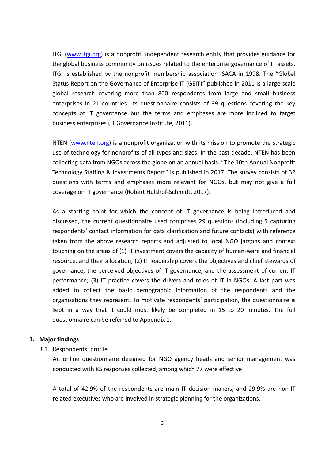ITGI [\(www.itgi.org\)](http://www.itgi.org/) is a nonprofit, independent research entity that provides guidance for the global business community on issues related to the enterprise governance of IT assets. ITGI is established by the nonprofit membership association ISACA in 1998. The "Global Status Report on the Governance of Enterprise IT (GEIT)" published in 2011 is a large-scale global research covering more than 800 respondents from large and small business enterprises in 21 countries. Its questionnaire consists of 39 questions covering the key concepts of IT governance but the terms and emphases are more inclined to target business enterprises (IT Governance Institute, 2011).

NTEN [\(www.nten.org\)](http://www.nten.org/) is a nonprofit organization with its mission to promote the strategic use of technology for nonprofits of all types and sizes. In the past decade, NTEN has been collecting data from NGOs across the globe on an annual basis. "The 10th Annual Nonprofit Technology Staffing & Investments Report" is published in 2017. The survey consists of 32 questions with terms and emphases more relevant for NGOs, but may not give a full coverage on IT governance (Robert Hulshof-Schmidt, 2017).

As a starting point for which the concept of IT governance is being introduced and discussed, the current questionnaire used comprises 29 questions (including 5 capturing respondents' contact information for data clarification and future contacts) with reference taken from the above research reports and adjusted to local NGO jargons and context touching on the areas of (1) IT investment covers the capacity of human-ware and financial resource, and their allocation; (2) IT leadership covers the objectives and chief stewards of governance, the perceived objectives of IT governance, and the assessment of current IT performance; (3) IT practice covers the drivers and roles of IT in NGOs. A last part was added to collect the basic demographic information of the respondents and the organizations they represent. To motivate respondents' participation, the questionnaire is kept in a way that it could most likely be completed in 15 to 20 minutes. The full questionnaire can be referred to Appendix 1.

# **3. Major findings**

# 3.1 Respondents' profile

An online questionnaire designed for NGO agency heads and senior management was conducted with 85 responses collected, among which 77 were effective.

A total of 42.9% of the respondents are main IT decision makers, and 29.9% are non-IT related executives who are involved in strategic planning for the organizations.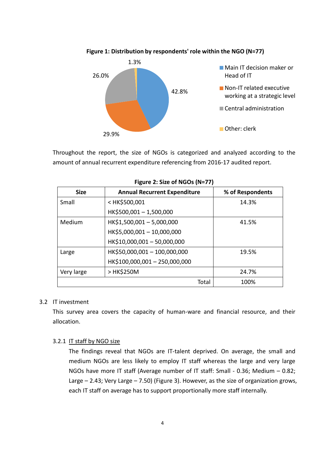

**Figure 1: Distribution by respondents' role within the NGO (N=77)**

Throughout the report, the size of NGOs is categorized and analyzed according to the amount of annual recurrent expenditure referencing from 2016-17 audited report.

| <b>Size</b> | <b>Annual Recurrent Expenditure</b>                        |       | % of Respondents |  |  |  |  |  |
|-------------|------------------------------------------------------------|-------|------------------|--|--|--|--|--|
| Small       | <hk\$500,001< td=""><td></td><td>14.3%</td></hk\$500,001<> |       | 14.3%            |  |  |  |  |  |
|             | HK\$500,001-1,500,000                                      |       |                  |  |  |  |  |  |
| Medium      | HK\$1,500,001-5,000,000                                    |       | 41.5%            |  |  |  |  |  |
|             | HK\$5,000,001-10,000,000                                   |       |                  |  |  |  |  |  |
|             | HK\$10,000,001 - 50,000,000                                |       |                  |  |  |  |  |  |
| Large       | HK\$50,000,001 - 100,000,000                               |       | 19.5%            |  |  |  |  |  |
|             | HK\$100,000,001 - 250,000,000                              |       |                  |  |  |  |  |  |
| Very large  | > HK\$250M                                                 |       | 24.7%            |  |  |  |  |  |
|             |                                                            | Total | 100%             |  |  |  |  |  |

|  |  |  |  |  | Figure 2: Size of NGOs (N=77) |
|--|--|--|--|--|-------------------------------|
|--|--|--|--|--|-------------------------------|

#### 3.2 IT investment

This survey area covers the capacity of human-ware and financial resource, and their allocation.

# 3.2.1 IT staff by NGO size

The findings reveal that NGOs are IT-talent deprived. On average, the small and medium NGOs are less likely to employ IT staff whereas the large and very large NGOs have more IT staff (Average number of IT staff: Small - 0.36; Medium – 0.82; Large – 2.43; Very Large – 7.50) (Figure 3). However, as the size of organization grows, each IT staff on average has to support proportionally more staff internally.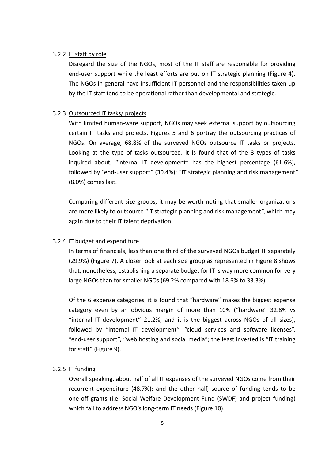# 3.2.2 IT staff by role

Disregard the size of the NGOs, most of the IT staff are responsible for providing end-user support while the least efforts are put on IT strategic planning (Figure 4). The NGOs in general have insufficient IT personnel and the responsibilities taken up by the IT staff tend to be operational rather than developmental and strategic.

# 3.2.3 Outsourced IT tasks/ projects

With limited human-ware support, NGOs may seek external support by outsourcing certain IT tasks and projects. Figures 5 and 6 portray the outsourcing practices of NGOs. On average, 68.8% of the surveyed NGOs outsource IT tasks or projects. Looking at the type of tasks outsourced, it is found that of the 3 types of tasks inquired about, "internal IT development" has the highest percentage (61.6%), followed by "end-user support" (30.4%); "IT strategic planning and risk management" (8.0%) comes last.

Comparing different size groups, it may be worth noting that smaller organizations are more likely to outsource "IT strategic planning and risk management", which may again due to their IT talent deprivation.

#### 3.2.4 IT budget and expenditure

In terms of financials, less than one third of the surveyed NGOs budget IT separately (29.9%) (Figure 7). A closer look at each size group as represented in Figure 8 shows that, nonetheless, establishing a separate budget for IT is way more common for very large NGOs than for smaller NGOs (69.2% compared with 18.6% to 33.3%).

Of the 6 expense categories, it is found that "hardware" makes the biggest expense category even by an obvious margin of more than 10% ("hardware" 32.8% vs "internal IT development" 21.2%; and it is the biggest across NGOs of all sizes), followed by "internal IT development", "cloud services and software licenses", "end-user support", "web hosting and social media"; the least invested is "IT training for staff" (Figure 9).

# 3.2.5 IT funding

Overall speaking, about half of all IT expenses of the surveyed NGOs come from their recurrent expenditure (48.7%); and the other half, source of funding tends to be one-off grants (i.e. Social Welfare Development Fund (SWDF) and project funding) which fail to address NGO's long-term IT needs (Figure 10).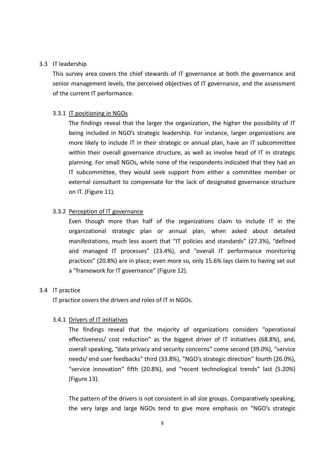# 3.3 IT leadership

This survey area covers the chief stewards of IT governance at both the governance and senior management levels, the perceived objectives of IT governance, and the assessment of the current IT performance.

# 3.3.1 IT positioning in NGOs

The findings reveal that the larger the organization, the higher the possibility of IT being included in NGO's strategic leadership. For instance, larger organizations are more likely to include IT in their strategic or annual plan, have an IT subcommittee within their overall governance structure, as well as involve head of IT in strategic planning. For small NGOs, while none of the respondents indicated that they had an IT subcommittee, they would seek support from either a committee member or external consultant to compensate for the lack of designated governance structure on IT. (Figure 11).

# 3.3.2 Perception of IT governance

Even though more than half of the organizations claim to include IT in the organizational strategic plan or annual plan, when asked about detailed manifestations, much less assert that "IT policies and standards" (27.3%), "defined and managed IT processes" (23.4%), and "overall IT performance monitoring practices" (20.8%) are in place; even more so, only 15.6% lays claim to having set out a "framework for IT governance" (Figure 12).

#### 3.4 IT practice

IT practice covers the drivers and roles of IT in NGOs.

#### 3.4.1 Drivers of IT initiatives

The findings reveal that the majority of organizations considers "operational effectiveness/ cost reduction" as the biggest driver of IT initiatives (68.8%), and, overall speaking, "data privacy and security concerns" come second (39.0%), "service needs/ end user feedbacks" third (33.8%), "NGO's strategic direction" fourth (26.0%), "service innovation" fifth (20.8%), and "recent technological trends" last (5.20%) (Figure 13).

The pattern of the drivers is not consistent in all size groups. Comparatively speaking, the very large and large NGOs tend to give more emphasis on "NGO's strategic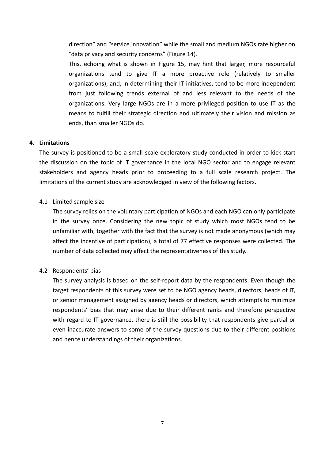direction" and "service innovation" while the small and medium NGOs rate higher on "data privacy and security concerns" (Figure 14).

This, echoing what is shown in Figure 15, may hint that larger, more resourceful organizations tend to give IT a more proactive role (relatively to smaller organizations); and, in determining their IT initiatives, tend to be more independent from just following trends external of and less relevant to the needs of the organizations. Very large NGOs are in a more privileged position to use IT as the means to fulfill their strategic direction and ultimately their vision and mission as ends, than smaller NGOs do.

# **4. Limitations**

The survey is positioned to be a small scale exploratory study conducted in order to kick start the discussion on the topic of IT governance in the local NGO sector and to engage relevant stakeholders and agency heads prior to proceeding to a full scale research project. The limitations of the current study are acknowledged in view of the following factors.

# 4.1 Limited sample size

The survey relies on the voluntary participation of NGOs and each NGO can only participate in the survey once. Considering the new topic of study which most NGOs tend to be unfamiliar with, together with the fact that the survey is not made anonymous (which may affect the incentive of participation), a total of 77 effective responses were collected. The number of data collected may affect the representativeness of this study.

# 4.2 Respondents' bias

The survey analysis is based on the self-report data by the respondents. Even though the target respondents of this survey were set to be NGO agency heads, directors, heads of IT, or senior management assigned by agency heads or directors, which attempts to minimize respondents' bias that may arise due to their different ranks and therefore perspective with regard to IT governance, there is still the possibility that respondents give partial or even inaccurate answers to some of the survey questions due to their different positions and hence understandings of their organizations.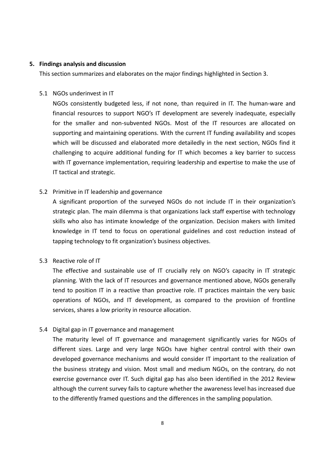# **5. Findings analysis and discussion**

This section summarizes and elaborates on the major findings highlighted in Section 3.

# 5.1 NGOs underinvest in IT

NGOs consistently budgeted less, if not none, than required in IT. The human-ware and financial resources to support NGO's IT development are severely inadequate, especially for the smaller and non-subvented NGOs. Most of the IT resources are allocated on supporting and maintaining operations. With the current IT funding availability and scopes which will be discussed and elaborated more detailedly in the next section, NGOs find it challenging to acquire additional funding for IT which becomes a key barrier to success with IT governance implementation, requiring leadership and expertise to make the use of IT tactical and strategic.

# 5.2 Primitive in IT leadership and governance

A significant proportion of the surveyed NGOs do not include IT in their organization's strategic plan. The main dilemma is that organizations lack staff expertise with technology skills who also has intimate knowledge of the organization. Decision makers with limited knowledge in IT tend to focus on operational guidelines and cost reduction instead of tapping technology to fit organization's business objectives.

#### 5.3 Reactive role of IT

The effective and sustainable use of IT crucially rely on NGO's capacity in IT strategic planning. With the lack of IT resources and governance mentioned above, NGOs generally tend to position IT in a reactive than proactive role. IT practices maintain the very basic operations of NGOs, and IT development, as compared to the provision of frontline services, shares a low priority in resource allocation.

# 5.4 Digital gap in IT governance and management

The maturity level of IT governance and management significantly varies for NGOs of different sizes. Large and very large NGOs have higher central control with their own developed governance mechanisms and would consider IT important to the realization of the business strategy and vision. Most small and medium NGOs, on the contrary, do not exercise governance over IT. Such digital gap has also been identified in the 2012 Review although the current survey fails to capture whether the awareness level has increased due to the differently framed questions and the differences in the sampling population.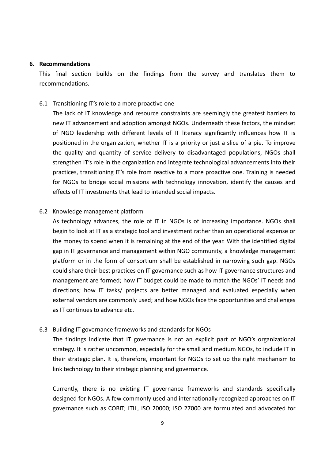#### **6. Recommendations**

This final section builds on the findings from the survey and translates them to recommendations.

#### 6.1 Transitioning IT's role to a more proactive one

The lack of IT knowledge and resource constraints are seemingly the greatest barriers to new IT advancement and adoption amongst NGOs. Underneath these factors, the mindset of NGO leadership with different levels of IT literacy significantly influences how IT is positioned in the organization, whether IT is a priority or just a slice of a pie. To improve the quality and quantity of service delivery to disadvantaged populations, NGOs shall strengthen IT's role in the organization and integrate technological advancements into their practices, transitioning IT's role from reactive to a more proactive one. Training is needed for NGOs to bridge social missions with technology innovation, identify the causes and effects of IT investments that lead to intended social impacts.

# 6.2 Knowledge management platform

As technology advances, the role of IT in NGOs is of increasing importance. NGOs shall begin to look at IT as a strategic tool and investment rather than an operational expense or the money to spend when it is remaining at the end of the year. With the identified digital gap in IT governance and management within NGO community, a knowledge management platform or in the form of consortium shall be established in narrowing such gap. NGOs could share their best practices on IT governance such as how IT governance structures and management are formed; how IT budget could be made to match the NGOs' IT needs and directions; how IT tasks/ projects are better managed and evaluated especially when external vendors are commonly used; and how NGOs face the opportunities and challenges as IT continues to advance etc.

# 6.3 Building IT governance frameworks and standards for NGOs

The findings indicate that IT governance is not an explicit part of NGO's organizational strategy. It is rather uncommon, especially for the small and medium NGOs, to include IT in their strategic plan. It is, therefore, important for NGOs to set up the right mechanism to link technology to their strategic planning and governance.

Currently, there is no existing IT governance frameworks and standards specifically designed for NGOs. A few commonly used and internationally recognized approaches on IT governance such as COBIT; ITIL, ISO 20000; ISO 27000 are formulated and advocated for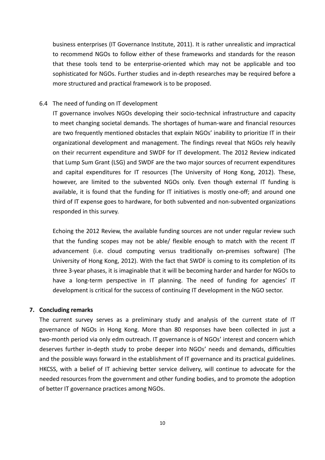business enterprises (IT Governance Institute, 2011). It is rather unrealistic and impractical to recommend NGOs to follow either of these frameworks and standards for the reason that these tools tend to be enterprise-oriented which may not be applicable and too sophisticated for NGOs. Further studies and in-depth researches may be required before a more structured and practical framework is to be proposed.

#### 6.4 The need of funding on IT development

IT governance involves NGOs developing their socio-technical infrastructure and capacity to meet changing societal demands. The shortages of human-ware and financial resources are two frequently mentioned obstacles that explain NGOs' inability to prioritize IT in their organizational development and management. The findings reveal that NGOs rely heavily on their recurrent expenditure and SWDF for IT development. The 2012 Review indicated that Lump Sum Grant (LSG) and SWDF are the two major sources of recurrent expenditures and capital expenditures for IT resources (The University of Hong Kong, 2012). These, however, are limited to the subvented NGOs only. Even though external IT funding is available, it is found that the funding for IT initiatives is mostly one-off; and around one third of IT expense goes to hardware, for both subvented and non-subvented organizations responded in this survey.

Echoing the 2012 Review, the available funding sources are not under regular review such that the funding scopes may not be able/ flexible enough to match with the recent IT advancement (i.e. cloud computing versus traditionally on-premises software) (The University of Hong Kong, 2012). With the fact that SWDF is coming to its completion of its three 3-year phases, it is imaginable that it will be becoming harder and harder for NGOs to have a long-term perspective in IT planning. The need of funding for agencies' IT development is critical for the success of continuing IT development in the NGO sector.

# **7. Concluding remarks**

The current survey serves as a preliminary study and analysis of the current state of IT governance of NGOs in Hong Kong. More than 80 responses have been collected in just a two-month period via only edm outreach. IT governance is of NGOs' interest and concern which deserves further in-depth study to probe deeper into NGOs' needs and demands, difficulties and the possible ways forward in the establishment of IT governance and its practical guidelines. HKCSS, with a belief of IT achieving better service delivery, will continue to advocate for the needed resources from the government and other funding bodies, and to promote the adoption of better IT governance practices among NGOs.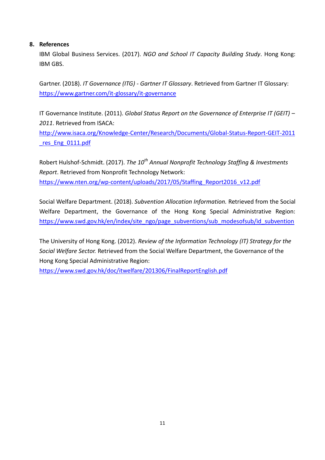# **8. References**

IBM Global Business Services. (2017). *NGO and School IT Capacity Building Study*. Hong Kong: IBM GBS.

Gartner. (2018). *IT Governance (ITG) - Gartner IT Glossary*. Retrieved from Gartner IT Glossary: <https://www.gartner.com/it-glossary/it-governance>

IT Governance Institute. (2011). *Global Status Report on the Governance of Enterprise IT (GEIT) – 2011*. Retrieved from ISACA:

[http://www.isaca.org/Knowledge-Center/Research/Documents/Global-Status-Report-GEIT-2011](http://www.isaca.org/Knowledge-Center/Research/Documents/Global-Status-Report-GEIT-2011_res_Eng_0111.pdf) res Eng\_0111.pdf

Robert Hulshof-Schmidt. (2017). *The 10th Annual Nonprofit Technology Staffing & Investments Report*. Retrieved from Nonprofit Technology Network: [https://www.nten.org/wp-content/uploads/2017/05/Staffing\\_Report2016\\_v12.pdf](https://www.nten.org/wp-content/uploads/2017/05/Staffing_Report2016_v12.pdf)

Social Welfare Department. (2018). *Subvention Allocation Information.* Retrieved from the Social Welfare Department, the Governance of the Hong Kong Special Administrative Region: [https://www.swd.gov.hk/en/index/site\\_ngo/page\\_subventions/sub\\_modesofsub/id\\_subvention](https://www.swd.gov.hk/en/index/site_ngo/page_subventions/sub_modesofsub/id_subvention)

The University of Hong Kong. (2012). *Review of the Information Technology (IT) Strategy for the Social Welfare Sector.* Retrieved from the Social Welfare Department, the Governance of the Hong Kong Special Administrative Region:

<https://www.swd.gov.hk/doc/itwelfare/201306/FinalReportEnglish.pdf>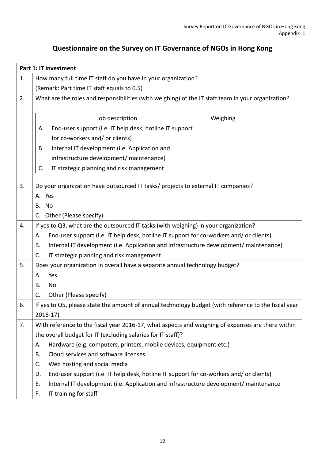# **Questionnaire on the Survey on IT Governance of NGOs in Hong Kong**

|                                                                     | Part 1: IT investment                                                                                                                                                                         |          |  |  |  |  |  |  |  |  |
|---------------------------------------------------------------------|-----------------------------------------------------------------------------------------------------------------------------------------------------------------------------------------------|----------|--|--|--|--|--|--|--|--|
| How many full time IT staff do you have in your organization?<br>1. |                                                                                                                                                                                               |          |  |  |  |  |  |  |  |  |
|                                                                     | (Remark: Part time IT staff equals to 0.5)                                                                                                                                                    |          |  |  |  |  |  |  |  |  |
| 2.                                                                  | What are the roles and responsibilities (with weighing) of the IT staff team in your organization?                                                                                            |          |  |  |  |  |  |  |  |  |
|                                                                     |                                                                                                                                                                                               |          |  |  |  |  |  |  |  |  |
|                                                                     | Job description                                                                                                                                                                               | Weighing |  |  |  |  |  |  |  |  |
|                                                                     | End-user support (i.e. IT help desk, hotline IT support<br>А.                                                                                                                                 |          |  |  |  |  |  |  |  |  |
|                                                                     | for co-workers and/ or clients)                                                                                                                                                               |          |  |  |  |  |  |  |  |  |
|                                                                     | Internal IT development (i.e. Application and<br>В.                                                                                                                                           |          |  |  |  |  |  |  |  |  |
|                                                                     | infrastructure development/ maintenance)                                                                                                                                                      |          |  |  |  |  |  |  |  |  |
|                                                                     | C.<br>IT strategic planning and risk management                                                                                                                                               |          |  |  |  |  |  |  |  |  |
| 3.                                                                  | Do your organization have outsourced IT tasks/ projects to external IT companies?                                                                                                             |          |  |  |  |  |  |  |  |  |
|                                                                     | A. Yes                                                                                                                                                                                        |          |  |  |  |  |  |  |  |  |
|                                                                     | B. No                                                                                                                                                                                         |          |  |  |  |  |  |  |  |  |
|                                                                     | Other (Please specify)<br>C.                                                                                                                                                                  |          |  |  |  |  |  |  |  |  |
| 4.                                                                  |                                                                                                                                                                                               |          |  |  |  |  |  |  |  |  |
|                                                                     | If yes to Q3, what are the outsourced IT tasks (with weighing) in your organization?                                                                                                          |          |  |  |  |  |  |  |  |  |
|                                                                     | End-user support (i.e. IT help desk, hotline IT support for co-workers and/ or clients)<br>А.<br>Internal IT development (i.e. Application and infrastructure development/ maintenance)<br>B. |          |  |  |  |  |  |  |  |  |
|                                                                     | IT strategic planning and risk management<br>C.                                                                                                                                               |          |  |  |  |  |  |  |  |  |
| 5.                                                                  | Does your organization in overall have a separate annual technology budget?                                                                                                                   |          |  |  |  |  |  |  |  |  |
|                                                                     | Yes<br>А.                                                                                                                                                                                     |          |  |  |  |  |  |  |  |  |
|                                                                     | <b>No</b><br>В.                                                                                                                                                                               |          |  |  |  |  |  |  |  |  |
|                                                                     | Other (Please specify)<br>C.                                                                                                                                                                  |          |  |  |  |  |  |  |  |  |
| 6.                                                                  |                                                                                                                                                                                               |          |  |  |  |  |  |  |  |  |
|                                                                     | If yes to Q5, please state the amount of annual technology budget (with reference to the fiscal year                                                                                          |          |  |  |  |  |  |  |  |  |
| 7.                                                                  | $2016-17$ ).<br>With reference to the fiscal year 2016-17, what aspects and weighing of expenses are there within                                                                             |          |  |  |  |  |  |  |  |  |
|                                                                     | the overall budget for IT (excluding salaries for IT staff)?                                                                                                                                  |          |  |  |  |  |  |  |  |  |
|                                                                     | Hardware (e.g. computers, printers, mobile devices, equipment etc.)<br>А.                                                                                                                     |          |  |  |  |  |  |  |  |  |
|                                                                     | Cloud services and software licenses<br>В.                                                                                                                                                    |          |  |  |  |  |  |  |  |  |
|                                                                     | Web hosting and social media<br>C.                                                                                                                                                            |          |  |  |  |  |  |  |  |  |
|                                                                     | End-user support (i.e. IT help desk, hotline IT support for co-workers and/ or clients)<br>D.                                                                                                 |          |  |  |  |  |  |  |  |  |
|                                                                     | Internal IT development (i.e. Application and infrastructure development/ maintenance<br>Ε.                                                                                                   |          |  |  |  |  |  |  |  |  |
|                                                                     | IT training for staff<br>F.                                                                                                                                                                   |          |  |  |  |  |  |  |  |  |
|                                                                     |                                                                                                                                                                                               |          |  |  |  |  |  |  |  |  |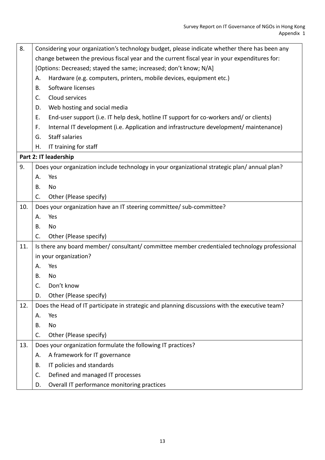| 8.  | Considering your organization's technology budget, please indicate whether there has been any  |  |  |  |  |  |  |
|-----|------------------------------------------------------------------------------------------------|--|--|--|--|--|--|
|     | change between the previous fiscal year and the current fiscal year in your expenditures for:  |  |  |  |  |  |  |
|     | [Options: Decreased; stayed the same; increased; don't know; N/A]                              |  |  |  |  |  |  |
|     | Hardware (e.g. computers, printers, mobile devices, equipment etc.)<br>А.                      |  |  |  |  |  |  |
|     | Software licenses<br>B.                                                                        |  |  |  |  |  |  |
|     | Cloud services<br>C.                                                                           |  |  |  |  |  |  |
|     | Web hosting and social media<br>D.                                                             |  |  |  |  |  |  |
|     | Ε.<br>End-user support (i.e. IT help desk, hotline IT support for co-workers and/ or clients)  |  |  |  |  |  |  |
|     | Internal IT development (i.e. Application and infrastructure development/ maintenance)<br>F.   |  |  |  |  |  |  |
|     | <b>Staff salaries</b><br>G.                                                                    |  |  |  |  |  |  |
|     | IT training for staff<br>Η.                                                                    |  |  |  |  |  |  |
|     | Part 2: IT leadership                                                                          |  |  |  |  |  |  |
| 9.  | Does your organization include technology in your organizational strategic plan/annual plan?   |  |  |  |  |  |  |
|     | Yes<br>Α.                                                                                      |  |  |  |  |  |  |
|     | No<br>B.                                                                                       |  |  |  |  |  |  |
|     | C.<br>Other (Please specify)                                                                   |  |  |  |  |  |  |
| 10. | Does your organization have an IT steering committee/ sub-committee?                           |  |  |  |  |  |  |
|     | Yes<br>А.                                                                                      |  |  |  |  |  |  |
|     | No<br>В.                                                                                       |  |  |  |  |  |  |
|     | C.<br>Other (Please specify)                                                                   |  |  |  |  |  |  |
| 11. | Is there any board member/consultant/committee member credentialed technology professional     |  |  |  |  |  |  |
|     | in your organization?                                                                          |  |  |  |  |  |  |
|     | А.<br>Yes                                                                                      |  |  |  |  |  |  |
|     | No<br>В.                                                                                       |  |  |  |  |  |  |
|     | C.<br>Don't know                                                                               |  |  |  |  |  |  |
|     | Other (Please specify)<br>D.                                                                   |  |  |  |  |  |  |
| 12. | Does the Head of IT participate in strategic and planning discussions with the executive team? |  |  |  |  |  |  |
|     | Yes<br>Α.                                                                                      |  |  |  |  |  |  |
|     | No<br>В.                                                                                       |  |  |  |  |  |  |
|     | C.<br>Other (Please specify)                                                                   |  |  |  |  |  |  |
| 13. | Does your organization formulate the following IT practices?                                   |  |  |  |  |  |  |
|     | A framework for IT governance<br>А.                                                            |  |  |  |  |  |  |
|     | IT policies and standards<br>В.                                                                |  |  |  |  |  |  |
|     | Defined and managed IT processes<br>C.                                                         |  |  |  |  |  |  |
|     | Overall IT performance monitoring practices<br>D.                                              |  |  |  |  |  |  |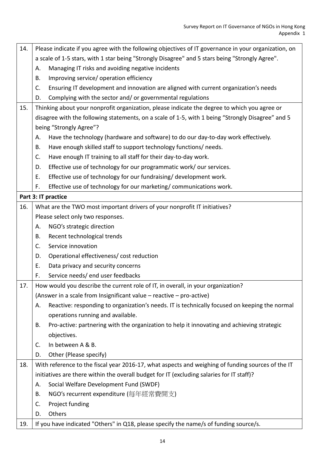| 14. | Please indicate if you agree with the following objectives of IT governance in your organization, on |  |  |  |  |  |
|-----|------------------------------------------------------------------------------------------------------|--|--|--|--|--|
|     | a scale of 1-5 stars, with 1 star being "Strongly Disagree" and 5 stars being "Strongly Agree".      |  |  |  |  |  |
|     | Managing IT risks and avoiding negative incidents<br>Α.                                              |  |  |  |  |  |
|     | Improving service/ operation efficiency<br>В.                                                        |  |  |  |  |  |
|     | C.<br>Ensuring IT development and innovation are aligned with current organization's needs           |  |  |  |  |  |
|     | Complying with the sector and/ or governmental regulations<br>D.                                     |  |  |  |  |  |
| 15. | Thinking about your nonprofit organization, please indicate the degree to which you agree or         |  |  |  |  |  |
|     | disagree with the following statements, on a scale of 1-5, with 1 being "Strongly Disagree" and 5    |  |  |  |  |  |
|     | being "Strongly Agree"?                                                                              |  |  |  |  |  |
|     | Have the technology (hardware and software) to do our day-to-day work effectively.<br>Α.             |  |  |  |  |  |
|     | Have enough skilled staff to support technology functions/ needs.<br>В.                              |  |  |  |  |  |
|     | Have enough IT training to all staff for their day-to-day work.<br>C.                                |  |  |  |  |  |
|     | Effective use of technology for our programmatic work/ our services.<br>D.                           |  |  |  |  |  |
|     | E.<br>Effective use of technology for our fundraising/ development work.                             |  |  |  |  |  |
|     | Effective use of technology for our marketing/communications work.<br>F.                             |  |  |  |  |  |
|     | Part 3: IT practice                                                                                  |  |  |  |  |  |
| 16. | What are the TWO most important drivers of your nonprofit IT initiatives?                            |  |  |  |  |  |
|     | Please select only two responses.                                                                    |  |  |  |  |  |
|     | NGO's strategic direction<br>Α.                                                                      |  |  |  |  |  |
|     | Recent technological trends<br>В.                                                                    |  |  |  |  |  |
|     | C.<br>Service innovation                                                                             |  |  |  |  |  |
|     | Operational effectiveness/ cost reduction<br>D.                                                      |  |  |  |  |  |
|     | E.<br>Data privacy and security concerns                                                             |  |  |  |  |  |
|     | F.<br>Service needs/ end user feedbacks                                                              |  |  |  |  |  |
| 17. | How would you describe the current role of IT, in overall, in your organization?                     |  |  |  |  |  |
|     | (Answer in a scale from Insignificant value – reactive – pro-active)                                 |  |  |  |  |  |
|     | Reactive: responding to organization's needs. IT is technically focused on keeping the normal<br>Α.  |  |  |  |  |  |
|     | operations running and available.                                                                    |  |  |  |  |  |
|     | Pro-active: partnering with the organization to help it innovating and achieving strategic<br>В.     |  |  |  |  |  |
|     | objectives.                                                                                          |  |  |  |  |  |
|     | In between A & B.<br>C.                                                                              |  |  |  |  |  |
|     | Other (Please specify)<br>D.                                                                         |  |  |  |  |  |
| 18. | With reference to the fiscal year 2016-17, what aspects and weighing of funding sources of the IT    |  |  |  |  |  |
|     | initiatives are there within the overall budget for IT (excluding salaries for IT staff)?            |  |  |  |  |  |
|     | Social Welfare Development Fund (SWDF)<br>А.                                                         |  |  |  |  |  |
|     | NGO's recurrent expenditure (每年經常費開支)<br><b>B.</b>                                                   |  |  |  |  |  |
|     | Project funding<br>C.                                                                                |  |  |  |  |  |
|     | Others<br>D.                                                                                         |  |  |  |  |  |
| 19. | If you have indicated "Others" in Q18, please specify the name/s of funding source/s.                |  |  |  |  |  |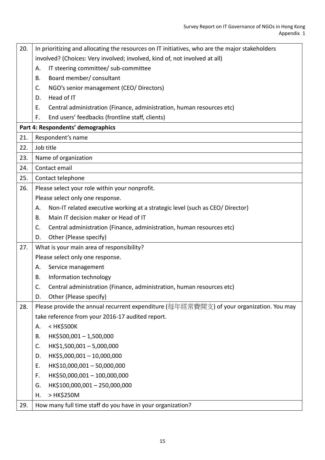| 20. | In prioritizing and allocating the resources on IT initiatives, who are the major stakeholders |
|-----|------------------------------------------------------------------------------------------------|
|     | involved? (Choices: Very involved; involved, kind of, not involved at all)                     |
|     | IT steering committee/ sub-committee<br>Α.                                                     |
|     | Board member/ consultant<br>В.                                                                 |
|     | NGO's senior management (CEO/ Directors)<br>C.                                                 |
|     | Head of IT<br>D.                                                                               |
|     | Central administration (Finance, administration, human resources etc)<br>Ε.                    |
|     | End users' feedbacks (frontline staff, clients)<br>F.                                          |
|     | Part 4: Respondents' demographics                                                              |
| 21. | Respondent's name                                                                              |
| 22. | Job title                                                                                      |
| 23. | Name of organization                                                                           |
| 24. | Contact email                                                                                  |
| 25. | Contact telephone                                                                              |
| 26. | Please select your role within your nonprofit.                                                 |
|     | Please select only one response.                                                               |
|     | Non-IT related executive working at a strategic level (such as CEO/ Director)<br>Α.            |
|     | Main IT decision maker or Head of IT<br><b>B.</b>                                              |
|     | Central administration (Finance, administration, human resources etc)<br>C.                    |
|     | Other (Please specify)<br>D.                                                                   |
| 27. | What is your main area of responsibility?                                                      |
|     | Please select only one response.                                                               |
|     | Service management<br>А.                                                                       |
|     | Information technology<br>Β.                                                                   |
|     | C.<br>Central administration (Finance, administration, human resources etc)                    |
|     | Other (Please specify)<br>D.                                                                   |
| 28. | Please provide the annual recurrent expenditure (每年經常費開支) of your organization. You may        |
|     | take reference from your 2016-17 audited report.                                               |
|     | < HK\$500K<br>Α.                                                                               |
|     | HK\$500,001-1,500,000<br>B.                                                                    |
|     | HK\$1,500,001-5,000,000<br>C.                                                                  |
|     | HK\$5,000,001-10,000,000<br>D.                                                                 |
|     | HK\$10,000,001 - 50,000,000<br>E.                                                              |
|     | HK\$50,000,001 - 100,000,000<br>F.                                                             |
|     | HK\$100,000,001-250,000,000<br>G.                                                              |
|     | > HK\$250M<br>Η.                                                                               |
| 29. | How many full time staff do you have in your organization?                                     |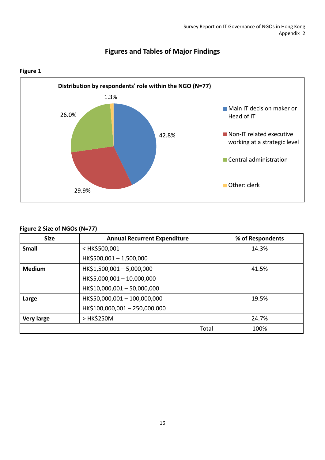

# **Figures and Tables of Major Findings**

# **Figure 2 Size of NGOs (N=77)**

| <b>Size</b>       | <b>Annual Recurrent Expenditure</b>               | % of Respondents |
|-------------------|---------------------------------------------------|------------------|
| <b>Small</b>      | <hk\$500,001< th=""><th>14.3%</th></hk\$500,001<> | 14.3%            |
|                   | HK\$500,001-1,500,000                             |                  |
| <b>Medium</b>     | HK\$1,500,001-5,000,000                           | 41.5%            |
|                   | HK\$5,000,001-10,000,000                          |                  |
|                   | HK\$10,000,001 - 50,000,000                       |                  |
| Large             | HK\$50,000,001-100,000,000                        | 19.5%            |
|                   | HK\$100,000,001-250,000,000                       |                  |
| <b>Very large</b> | > HK\$250M                                        | 24.7%            |
|                   | Total                                             | 100%             |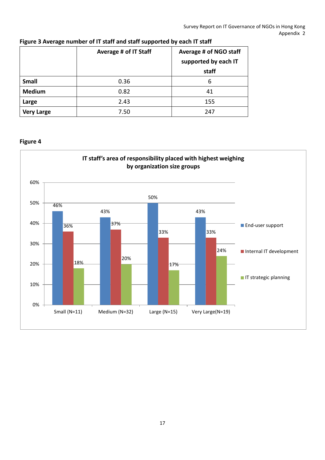|                   | Average # of IT Staff | Average # of NGO staff<br>supported by each IT |
|-------------------|-----------------------|------------------------------------------------|
|                   |                       | staff                                          |
| <b>Small</b>      | 0.36                  | 6                                              |
| <b>Medium</b>     | 0.82                  | 41                                             |
| Large             | 2.43                  | 155                                            |
| <b>Very Large</b> | 7.50                  | 247                                            |

# **Figure 3 Average number of IT staff and staff supported by each IT staff**

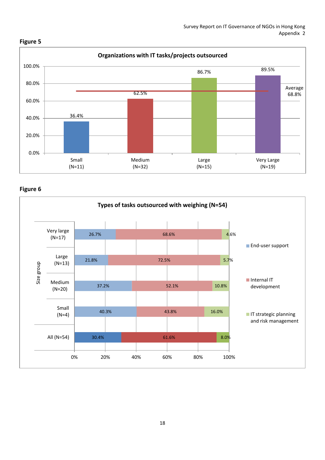

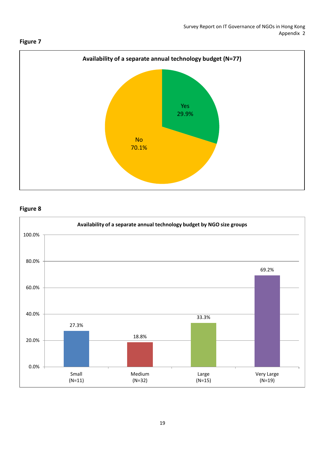

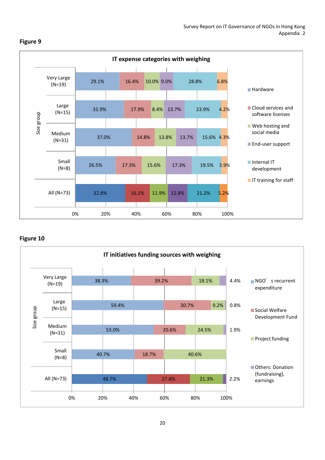

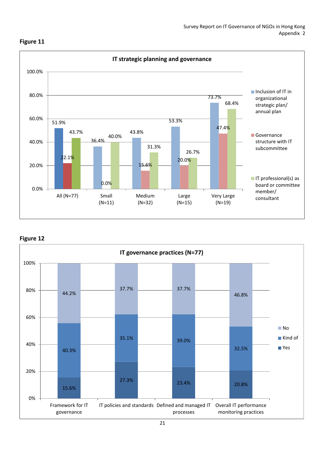

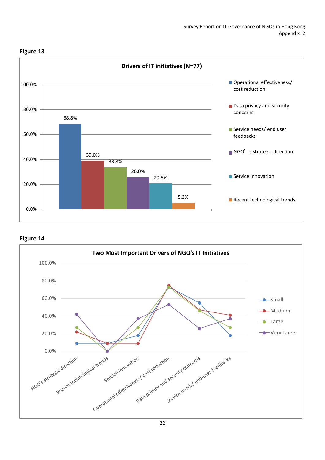

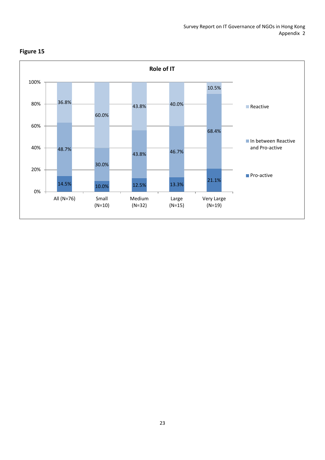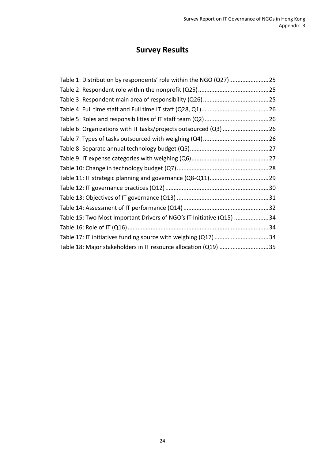# **Survey Results**

| Table 1: Distribution by respondents' role within the NGO (Q27)25    |  |
|----------------------------------------------------------------------|--|
|                                                                      |  |
|                                                                      |  |
|                                                                      |  |
|                                                                      |  |
| Table 6: Organizations with IT tasks/projects outsourced (Q3)  26    |  |
|                                                                      |  |
|                                                                      |  |
|                                                                      |  |
|                                                                      |  |
|                                                                      |  |
|                                                                      |  |
|                                                                      |  |
|                                                                      |  |
| Table 15: Two Most Important Drivers of NGO's IT Initiative (Q15) 34 |  |
|                                                                      |  |
| Table 17: IT initiatives funding source with weighing (Q17)34        |  |
| Table 18: Major stakeholders in IT resource allocation (Q19) 35      |  |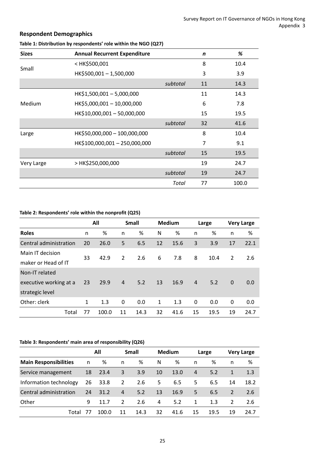# **Respondent Demographics**

| <b>Sizes</b> | <b>Annual Recurrent Expenditure</b>                                 |          | $\mathsf{n}$ | %     |
|--------------|---------------------------------------------------------------------|----------|--------------|-------|
|              | <hk\$500,001< td=""><td></td><td>8</td><td>10.4</td></hk\$500,001<> |          | 8            | 10.4  |
| Small        | HK\$500,001-1,500,000                                               |          | 3            | 3.9   |
|              |                                                                     | subtotal | 11           | 14.3  |
|              | HK\$1,500,001 - 5,000,000                                           |          | 11           | 14.3  |
| Medium       | HK\$5,000,001 - 10,000,000                                          |          | 6            | 7.8   |
|              | HK\$10,000,001 - 50,000,000                                         |          | 15           | 19.5  |
|              |                                                                     | subtotal | 32           | 41.6  |
| Large        | HK\$50,000,000 - 100,000,000                                        |          | 8            | 10.4  |
|              | HK\$100,000,001 - 250,000,000                                       |          | 7            | 9.1   |
|              |                                                                     | subtotal | 15           | 19.5  |
| Very Large   | > HK\$250,000,000                                                   |          | 19           | 24.7  |
|              |                                                                     | subtotal | 19           | 24.7  |
|              |                                                                     | Total    | 77           | 100.0 |

# <span id="page-27-0"></span>**Table 1: Distribution by respondents' role within the NGO (Q27)**

# <span id="page-27-1"></span>**Table 2: Respondents' role within the nonprofit (Q25)**

|                        |              | All   |                | <b>Small</b> |              | <b>Medium</b> |                | Large |          | <b>Very Large</b> |
|------------------------|--------------|-------|----------------|--------------|--------------|---------------|----------------|-------|----------|-------------------|
| <b>Roles</b>           | n            | %     | n              | %            | N            | %             | n              | %     | n        | %                 |
| Central administration | 20           | 26.0  | 5              | 6.5          | 12           | 15.6          | 3              | 3.9   | 17       | 22.1              |
| Main IT decision       | 33           | 42.9  | 2              | 2.6          | 6            | 7.8           | 8              | 10.4  | 2        | 2.6               |
| maker or Head of IT    |              |       |                |              |              |               |                |       |          |                   |
| Non-IT related         |              |       |                |              |              |               |                |       |          |                   |
| executive working at a | 23           | 29.9  | $\overline{4}$ | 5.2          | 13           | 16.9          | $\overline{4}$ | 5.2   | $\Omega$ | 0.0               |
| strategic level        |              |       |                |              |              |               |                |       |          |                   |
| Other: clerk           | $\mathbf{1}$ | 1.3   | 0              | 0.0          | $\mathbf{1}$ | 1.3           | $\mathbf{0}$   | 0.0   | 0        | 0.0               |
| Total                  | 77           | 100.0 | 11             | 14.3         | 32           | 41.6          | 15             | 19.5  | 19       | 24.7              |

#### <span id="page-27-2"></span>**Table 3: Respondents' main area of responsibility (Q26)**

|                              | All |       |                | <b>Small</b> |    | <b>Medium</b> |    | Large |              | <b>Very Large</b> |
|------------------------------|-----|-------|----------------|--------------|----|---------------|----|-------|--------------|-------------------|
| <b>Main Responsibilities</b> | n   | %     | n              | %            | N  | %             | n  | %     | n            | %                 |
| Service management           | 18  | 23.4  | 3              | 3.9          | 10 | 13.0          | 4  | 5.2   | $\mathbf{1}$ | 1.3               |
| Information technology       | 26  | 33.8  | $\overline{2}$ | 2.6          | 5  | 6.5           | 5. | 6.5   | 14           | 18.2              |
| Central administration       | 24  | 31.2  | $\overline{4}$ | 5.2          | 13 | 16.9          | 5  | 6.5   | 2            | 2.6               |
| Other                        | q   | 11.7  | $\overline{2}$ | 2.6          | 4  | 5.2           | 1  | 1.3   | 2            | 2.6               |
| Total                        |     | 100.0 | 11             | 14.3         | 32 | 41.6          | 15 | 19.5  | 19           | 24.7              |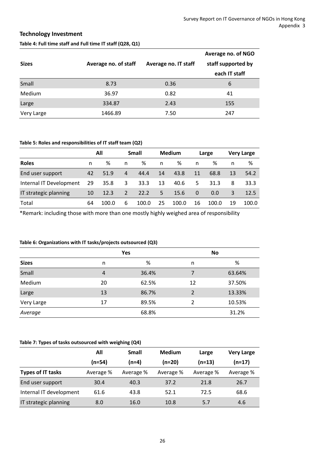# **Technology Investment**

# <span id="page-28-0"></span>**Table 4: Full time staff and Full time IT staff (Q28, Q1)**

|              |                      |                      | Average no. of NGO |
|--------------|----------------------|----------------------|--------------------|
| <b>Sizes</b> | Average no. of staff | Average no. IT staff | staff supported by |
|              |                      |                      | each IT staff      |
| Small        | 8.73                 | 0.36                 | 6                  |
| Medium       | 36.97                | 0.82                 | 41                 |
| Large        | 334.87               | 2.43                 | 155                |
| Very Large   | 1466.89              | 7.50                 | 247                |

#### <span id="page-28-1"></span>**Table 5: Roles and responsibilities of IT staff team (Q2)**

|                         | All |       |                | <b>Small</b> |    | <b>Medium</b> | Large    |       |    | <b>Very Large</b> |  |  |
|-------------------------|-----|-------|----------------|--------------|----|---------------|----------|-------|----|-------------------|--|--|
| <b>Roles</b>            | n   | ℅     | n              | %            | n  | %             | n        | %     | n  | ℅                 |  |  |
| End user support        | 42  | 51.9  | $\overline{4}$ | 44.4         | 14 | 43.8          | 11       | 68.8  | 13 | 54.2              |  |  |
| Internal IT Development | 29  | 35.8  | 3              | 33.3         | 13 | 40.6          | 5        | 31.3  | 8  | 33.3              |  |  |
| IT strategic planning   | 10  | 12.3  | 2              | 22.2         | 5  | 15.6          | $\Omega$ | 0.0   | 3  | 12.5              |  |  |
| Total                   | 64  | 100.0 | 6              | 100.0        | 25 | 100.0         | 16       | 100.0 | 19 | 100.0             |  |  |

\*Remark: including those with more than one mostly highly weighed area of responsibility

#### <span id="page-28-2"></span>**Table 6: Organizations with IT tasks/projects outsourced (Q3)**

|              |    | Yes   |                | <b>No</b> |
|--------------|----|-------|----------------|-----------|
| <b>Sizes</b> | n  | %     | n              | %         |
| Small        | 4  | 36.4% | 7              | 63.64%    |
| Medium       | 20 | 62.5% | 12             | 37.50%    |
| Large        | 13 | 86.7% | $\overline{2}$ | 13.33%    |
| Very Large   | 17 | 89.5% | 2              | 10.53%    |
| Average      |    | 68.8% |                | 31.2%     |

#### <span id="page-28-3"></span>**Table 7: Types of tasks outsourced with weighing (Q4)**

|                         | All       | <b>Small</b> |           | Large     | <b>Very Large</b> |
|-------------------------|-----------|--------------|-----------|-----------|-------------------|
|                         | (n=54)    | $(n=4)$      | $(n=20)$  | $(n=13)$  | (n=17)            |
| Types of IT tasks       | Average % | Average %    | Average % | Average % | Average %         |
| End user support        | 30.4      | 40.3         | 37.2      | 21.8      | 26.7              |
| Internal IT development | 61.6      | 43.8         | 52.1      | 72.5      | 68.6              |
| IT strategic planning   | 8.0       | 16.0         | 10.8      | 5.7       | 4.6               |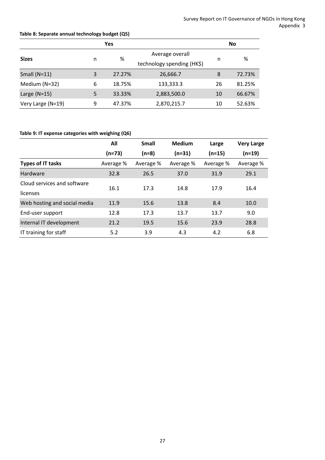# <span id="page-29-0"></span>**Table 8: Separate annual technology budget (Q5)**

|                   |   | Yes    |                            | No |        |  |
|-------------------|---|--------|----------------------------|----|--------|--|
| <b>Sizes</b>      |   | %      | Average overall            |    | %      |  |
|                   | n |        | technology spending (HK\$) | n  |        |  |
| Small $(N=11)$    | 3 | 27.27% | 26,666.7                   | 8  | 72.73% |  |
| Medium (N=32)     | 6 | 18.75% | 133,333.3                  | 26 | 81.25% |  |
| Large $(N=15)$    | 5 | 33.33% | 2,883,500.0                | 10 | 66.67% |  |
| Very Large (N=19) | 9 | 47.37% | 2,870,215.7                | 10 | 52.63% |  |

# <span id="page-29-1"></span>**Table 9: IT expense categories with weighing (Q6)**

|                              | All       | <b>Small</b> | <b>Medium</b> | Large     | <b>Very Large</b> |  |
|------------------------------|-----------|--------------|---------------|-----------|-------------------|--|
|                              | $(n=73)$  | $(n=8)$      | $(n=31)$      | $(n=15)$  | $(n=19)$          |  |
| <b>Types of IT tasks</b>     | Average % | Average %    | Average %     | Average % | Average %         |  |
| Hardware                     | 32.8      | 26.5         | 37.0          | 31.9      | 29.1              |  |
| Cloud services and software  | 16.1      | 17.3         | 14.8          | 17.9      | 16.4              |  |
| licenses                     |           |              |               |           |                   |  |
| Web hosting and social media | 11.9      | 15.6         | 13.8          | 8.4       | 10.0              |  |
| End-user support             | 12.8      | 17.3         | 13.7          | 13.7      | 9.0               |  |
| Internal IT development      | 21.2      | 19.5         | 15.6          | 23.9      | 28.8              |  |
| IT training for staff        | 5.2       | 3.9          | 4.3           | 4.2       | 6.8               |  |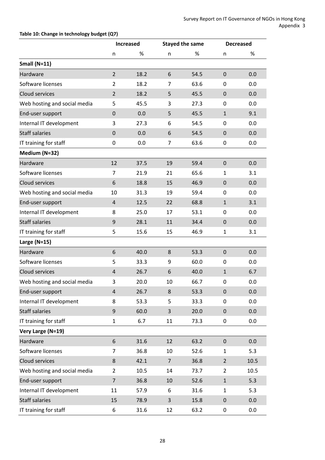# <span id="page-30-0"></span>**Table 10: Change in technology budget (Q7)**

|                              |                  | <b>Increased</b> |                | <b>Stayed the same</b> |                  | <b>Decreased</b> |
|------------------------------|------------------|------------------|----------------|------------------------|------------------|------------------|
|                              | n                | %                | n              | %                      | n                | %                |
| Small $(N=11)$               |                  |                  |                |                        |                  |                  |
| Hardware                     | $\overline{2}$   | 18.2             | 6              | 54.5                   | $\pmb{0}$        | 0.0              |
| Software licenses            | $\overline{2}$   | 18.2             | 7              | 63.6                   | 0                | 0.0              |
| Cloud services               | $\overline{2}$   | 18.2             | 5              | 45.5                   | $\pmb{0}$        | 0.0              |
| Web hosting and social media | 5                | 45.5             | 3              | 27.3                   | 0                | 0.0              |
| End-user support             | $\boldsymbol{0}$ | 0.0              | 5              | 45.5                   | $\mathbf{1}$     | 9.1              |
| Internal IT development      | 3                | 27.3             | 6              | 54.5                   | 0                | 0.0              |
| <b>Staff salaries</b>        | $\mathbf 0$      | 0.0              | 6              | 54.5                   | $\mathbf 0$      | 0.0              |
| IT training for staff        | 0                | 0.0              | 7              | 63.6                   | 0                | 0.0              |
| Medium (N=32)                |                  |                  |                |                        |                  |                  |
| Hardware                     | 12               | 37.5             | 19             | 59.4                   | $\mathbf 0$      | 0.0              |
| Software licenses            | $\overline{7}$   | 21.9             | 21             | 65.6                   | $\mathbf{1}$     | 3.1              |
| Cloud services               | 6                | 18.8             | 15             | 46.9                   | $\mathbf 0$      | 0.0              |
| Web hosting and social media | 10               | 31.3             | 19             | 59.4                   | 0                | 0.0              |
| End-user support             | $\overline{4}$   | 12.5             | 22             | 68.8                   | $\mathbf{1}$     | 3.1              |
| Internal IT development      | 8                | 25.0             | 17             | 53.1                   | 0                | 0.0              |
| <b>Staff salaries</b>        | 9                | 28.1             | 11             | 34.4                   | $\mathbf 0$      | 0.0              |
| IT training for staff        | 5                | 15.6             | 15             | 46.9                   | $\mathbf{1}$     | 3.1              |
| Large $(N=15)$               |                  |                  |                |                        |                  |                  |
| Hardware                     | 6                | 40.0             | 8              | 53.3                   | $\mathbf 0$      | 0.0              |
| Software licenses            | 5                | 33.3             | 9              | 60.0                   | 0                | 0.0              |
| Cloud services               | $\overline{4}$   | 26.7             | 6              | 40.0                   | $\mathbf{1}$     | 6.7              |
| Web hosting and social media | 3                | 20.0             | 10             | 66.7                   | 0                | 0.0              |
| End-user support             | $\overline{4}$   | 26.7             | 8              | 53.3                   | $\boldsymbol{0}$ | 0.0              |
| Internal IT development      | 8                | 53.3             | 5              | 33.3                   | 0                | 0.0              |
| <b>Staff salaries</b>        | 9                | 60.0             | 3              | 20.0                   | $\boldsymbol{0}$ | 0.0              |
| IT training for staff        | $\mathbf{1}$     | 6.7              | 11             | 73.3                   | $\pmb{0}$        | 0.0              |
| Very Large (N=19)            |                  |                  |                |                        |                  |                  |
| Hardware                     | 6                | 31.6             | 12             | 63.2                   | $\pmb{0}$        | 0.0              |
| Software licenses            | 7                | 36.8             | 10             | 52.6                   | $\mathbf{1}$     | 5.3              |
| Cloud services               | 8                | 42.1             | $\overline{7}$ | 36.8                   | $\overline{2}$   | 10.5             |
| Web hosting and social media | $\overline{2}$   | 10.5             | 14             | 73.7                   | $\overline{2}$   | 10.5             |
| End-user support             | $\overline{7}$   | 36.8             | 10             | 52.6                   | $\mathbf{1}$     | 5.3              |
| Internal IT development      | 11               | 57.9             | 6              | 31.6                   | $\mathbf{1}$     | 5.3              |
| <b>Staff salaries</b>        | 15               | 78.9             | 3              | 15.8                   | $\pmb{0}$        | 0.0              |
| IT training for staff        | 6                | 31.6             | 12             | 63.2                   | 0                | 0.0              |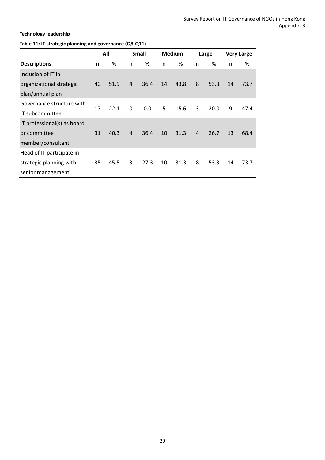# **Technology leadership**

# <span id="page-31-0"></span>**Table 11: IT strategic planning and governance (Q8-Q11)**

|                             |    | All<br><b>Small</b> |                |      | <b>Medium</b> |      | <b>Very Large</b><br>Large |      |    |      |
|-----------------------------|----|---------------------|----------------|------|---------------|------|----------------------------|------|----|------|
| <b>Descriptions</b>         | n  | %                   | n              | %    | n             | %    | n                          | %    | n  | %    |
| Inclusion of IT in          |    |                     |                |      |               |      |                            |      |    |      |
| organizational strategic    | 40 | 51.9                | $\overline{4}$ | 36.4 | 14            | 43.8 | 8                          | 53.3 | 14 | 73.7 |
| plan/annual plan            |    |                     |                |      |               |      |                            |      |    |      |
| Governance structure with   | 17 | 22.1                | $\Omega$       | 0.0  | 5             | 15.6 | 3                          | 20.0 | 9  | 47.4 |
| IT subcommittee             |    |                     |                |      |               |      |                            |      |    |      |
| IT professional(s) as board |    |                     |                |      |               |      |                            |      |    |      |
| or committee                | 31 | 40.3                | $\overline{4}$ | 36.4 | 10            | 31.3 | $\overline{4}$             | 26.7 | 13 | 68.4 |
| member/consultant           |    |                     |                |      |               |      |                            |      |    |      |
| Head of IT participate in   |    |                     |                |      |               |      |                            |      |    |      |
| strategic planning with     | 35 | 45.5                | 3              | 27.3 | 10            | 31.3 | 8                          | 53.3 | 14 | 73.7 |
| senior management           |    |                     |                |      |               |      |                            |      |    |      |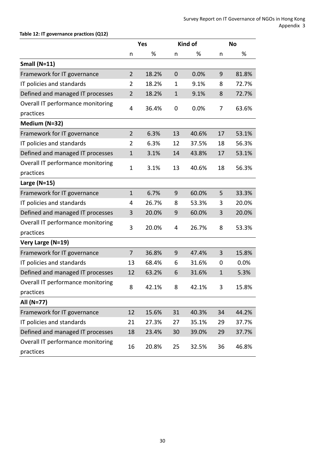# <span id="page-32-0"></span>**Table 12: IT governance practices (Q12)**

|                                   |                | <b>Yes</b> |                  | <b>Kind of</b> |              | <b>No</b> |  |
|-----------------------------------|----------------|------------|------------------|----------------|--------------|-----------|--|
|                                   | n              | %          | n                | %              | n            | %         |  |
| Small $(N=11)$                    |                |            |                  |                |              |           |  |
| Framework for IT governance       | $\overline{2}$ | 18.2%      | $\boldsymbol{0}$ | 0.0%           | 9            | 81.8%     |  |
| IT policies and standards         | 2              | 18.2%      | 1                | 9.1%           | 8            | 72.7%     |  |
| Defined and managed IT processes  | $\overline{2}$ | 18.2%      | $\mathbf{1}$     | 9.1%           | 8            | 72.7%     |  |
| Overall IT performance monitoring |                |            |                  |                |              |           |  |
| practices                         | 4              | 36.4%      | 0                | 0.0%           | 7            | 63.6%     |  |
| Medium (N=32)                     |                |            |                  |                |              |           |  |
| Framework for IT governance       | $\overline{2}$ | 6.3%       | 13               | 40.6%          | 17           | 53.1%     |  |
| IT policies and standards         | 2              | 6.3%       | 12               | 37.5%          | 18           | 56.3%     |  |
| Defined and managed IT processes  | $\mathbf{1}$   | 3.1%       | 14               | 43.8%          | 17           | 53.1%     |  |
| Overall IT performance monitoring |                |            |                  |                |              |           |  |
| practices                         | 1              | 3.1%       | 13               | 40.6%          | 18           | 56.3%     |  |
| Large $(N=15)$                    |                |            |                  |                |              |           |  |
| Framework for IT governance       | $\mathbf{1}$   | 6.7%       | 9                | 60.0%          | 5            | 33.3%     |  |
| IT policies and standards         | 4              | 26.7%      | 8                | 53.3%          | 3            | 20.0%     |  |
| Defined and managed IT processes  | 3              | 20.0%      | 9                | 60.0%          | 3            | 20.0%     |  |
| Overall IT performance monitoring | 3              |            |                  |                |              |           |  |
| practices                         |                | 20.0%      | 4                | 26.7%          | 8            | 53.3%     |  |
| Very Large (N=19)                 |                |            |                  |                |              |           |  |
| Framework for IT governance       | $\overline{7}$ | 36.8%      | 9                | 47.4%          | 3            | 15.8%     |  |
| IT policies and standards         | 13             | 68.4%      | 6                | 31.6%          | 0            | 0.0%      |  |
| Defined and managed IT processes  | 12             | 63.2%      | 6                | 31.6%          | $\mathbf{1}$ | 5.3%      |  |
| Overall IT performance monitoring |                |            |                  |                |              |           |  |
| practices                         | 8              | 42.1%      | 8                | 42.1%          | 3            | 15.8%     |  |
| All (N=77)                        |                |            |                  |                |              |           |  |
| Framework for IT governance       | 12             | 15.6%      | 31               | 40.3%          | 34           | 44.2%     |  |
| IT policies and standards         | 21             | 27.3%      | 27               | 35.1%          | 29           | 37.7%     |  |
| Defined and managed IT processes  | 18             | 23.4%      | 30               | 39.0%          | 29           | 37.7%     |  |
| Overall IT performance monitoring |                |            |                  |                |              | 46.8%     |  |
| practices                         | 16             | 20.8%      | 25               | 32.5%          | 36           |           |  |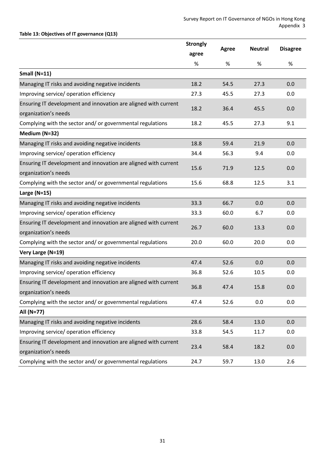# <span id="page-33-0"></span>**Table 13: Objectives of IT governance (Q13)**

<span id="page-33-1"></span>

|                                                                 | <b>Strongly</b> | <b>Agree</b> | <b>Neutral</b> | <b>Disagree</b> |
|-----------------------------------------------------------------|-----------------|--------------|----------------|-----------------|
|                                                                 | agree           |              |                |                 |
|                                                                 | %               | %            | $\%$           | $\%$            |
| Small $(N=11)$                                                  |                 |              |                |                 |
| Managing IT risks and avoiding negative incidents               | 18.2            | 54.5         | 27.3           | 0.0             |
| Improving service/ operation efficiency                         | 27.3            | 45.5         | 27.3           | 0.0             |
| Ensuring IT development and innovation are aligned with current | 18.2            | 36.4         | 45.5           | 0.0             |
| organization's needs                                            |                 |              |                |                 |
| Complying with the sector and/ or governmental regulations      | 18.2            | 45.5         | 27.3           | 9.1             |
| Medium (N=32)                                                   |                 |              |                |                 |
| Managing IT risks and avoiding negative incidents               | 18.8            | 59.4         | 21.9           | 0.0             |
| Improving service/ operation efficiency                         | 34.4            | 56.3         | 9.4            | 0.0             |
| Ensuring IT development and innovation are aligned with current |                 | 71.9         | 12.5           |                 |
| organization's needs                                            | 15.6            |              |                | 0.0             |
| Complying with the sector and/ or governmental regulations      | 15.6            | 68.8         | 12.5           | 3.1             |
| Large $(N=15)$                                                  |                 |              |                |                 |
| Managing IT risks and avoiding negative incidents               | 33.3            | 66.7         | 0.0            | 0.0             |
| Improving service/ operation efficiency                         | 33.3            | 60.0         | 6.7            | 0.0             |
| Ensuring IT development and innovation are aligned with current | 26.7            | 60.0         |                |                 |
| organization's needs                                            |                 |              | 13.3           | 0.0             |
| Complying with the sector and/ or governmental regulations      | 20.0            | 60.0         | 20.0           | 0.0             |
| Very Large (N=19)                                               |                 |              |                |                 |
| Managing IT risks and avoiding negative incidents               | 47.4            | 52.6         | 0.0            | 0.0             |
| Improving service/ operation efficiency                         | 36.8            | 52.6         | 10.5           | 0.0             |
| Ensuring IT development and innovation are aligned with current |                 |              |                |                 |
| organization's needs                                            | 36.8            | 47.4         | 15.8           | 0.0             |
| Complying with the sector and/ or governmental regulations      | 47.4            | 52.6         | 0.0            | 0.0             |
| All (N=77)                                                      |                 |              |                |                 |
| Managing IT risks and avoiding negative incidents               | 28.6            | 58.4         | 13.0           | 0.0             |
| Improving service/ operation efficiency                         | 33.8            | 54.5         | 11.7           | 0.0             |
| Ensuring IT development and innovation are aligned with current |                 |              |                |                 |
| organization's needs                                            | 23.4            | 58.4         | 18.2           | 0.0             |
| Complying with the sector and/ or governmental regulations      | 24.7            | 59.7         | 13.0           | 2.6             |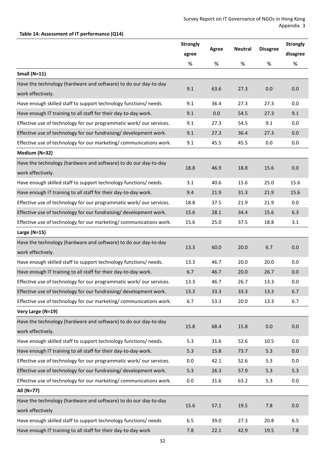# **Table 14: Assessment of IT performance (Q14)**

|                                                                      | <b>Strongly</b> |       |                |                 | <b>Strongly</b> |
|----------------------------------------------------------------------|-----------------|-------|----------------|-----------------|-----------------|
|                                                                      | agree           | Agree | <b>Neutral</b> | <b>Disagree</b> | disagree        |
|                                                                      | $\%$            | $\%$  | %              | $\%$            | $\%$            |
| Small $(N=11)$                                                       |                 |       |                |                 |                 |
| Have the technology (hardware and software) to do our day-to-day     | 9.1             | 63.6  | 27.3           | 0.0             | 0.0             |
| work effectively.                                                    |                 |       |                |                 |                 |
| Have enough skilled staff to support technology functions/ needs.    | 9.1             | 36.4  | 27.3           | 27.3            | 0.0             |
| Have enough IT training to all staff for their day-to-day work.      | 9.1             | 0.0   | 54.5           | 27.3            | 9.1             |
| Effective use of technology for our programmatic work/ our services. | 9.1             | 27.3  | 54.5           | 9.1             | 0.0             |
| Effective use of technology for our fundraising/ development work.   | 9.1             | 27.3  | 36.4           | 27.3            | 0.0             |
| Effective use of technology for our marketing/ communications work.  | 9.1             | 45.5  | 45.5           | 0.0             | 0.0             |
| Medium (N=32)                                                        |                 |       |                |                 |                 |
| Have the technology (hardware and software) to do our day-to-day     | 18.8            | 46.9  | 18.8           | 15.6            | 0.0             |
| work effectively.                                                    |                 |       |                |                 |                 |
| Have enough skilled staff to support technology functions/ needs.    | 3.1             | 40.6  | 15.6           | 25.0            | 15.6            |
| Have enough IT training to all staff for their day-to-day work.      | 9.4             | 21.9  | 31.3           | 21.9            | 15.6            |
| Effective use of technology for our programmatic work/ our services. | 18.8            | 37.5  | 21.9           | 21.9            | 0.0             |
| Effective use of technology for our fundraising/ development work.   | 15.6            | 28.1  | 34.4           | 15.6            | 6.3             |
| Effective use of technology for our marketing/communications work.   | 15.6            | 25.0  | 37.5           | 18.8            | 3.1             |
| Large $(N=15)$                                                       |                 |       |                |                 |                 |
| Have the technology (hardware and software) to do our day-to-day     | 13.3            | 60.0  | 20.0           | 6.7             | 0.0             |
| work effectively.                                                    |                 |       |                |                 |                 |
| Have enough skilled staff to support technology functions/ needs.    | 13.3            | 46.7  | 20.0           | 20.0            | 0.0             |
| Have enough IT training to all staff for their day-to-day work.      | 6.7             | 46.7  | 20.0           | 26.7            | 0.0             |
| Effective use of technology for our programmatic work/our services.  | 13.3            | 46.7  | 26.7           | 13.3            | 0.0             |
| Effective use of technology for our fundraising/ development work.   | 13.3            | 33.3  | 33.3           | 13.3            | 6.7             |
| Effective use of technology for our marketing/communications work.   | 6.7             | 53.3  | 20.0           | 13.3            | 6.7             |
| Very Large (N=19)                                                    |                 |       |                |                 |                 |
| Have the technology (hardware and software) to do our day-to-day     | 15.8            | 68.4  | 15.8           | 0.0             | 0.0             |
| work effectively.                                                    |                 |       |                |                 |                 |
| Have enough skilled staff to support technology functions/ needs.    | 5.3             | 31.6  | 52.6           | 10.5            | 0.0             |
| Have enough IT training to all staff for their day-to-day work.      | 5.3             | 15.8  | 73.7           | 5.3             | 0.0             |
| Effective use of technology for our programmatic work/our services.  | 0.0             | 42.1  | 52.6           | 5.3             | 0.0             |
| Effective use of technology for our fundraising/ development work.   | 5.3             | 26.3  | 57.9           | 5.3             | 5.3             |
| Effective use of technology for our marketing/communications work.   | 0.0             | 31.6  | 63.2           | 5.3             | 0.0             |
| All (N=77)                                                           |                 |       |                |                 |                 |
| Have the technology (hardware and software) to do our day-to-day     | 15.6            | 57.1  | 19.5           | 7.8             | 0.0             |
| work effectively                                                     |                 |       |                |                 |                 |
| Have enough skilled staff to support technology functions/ needs     | 6.5             | 39.0  | 27.3           | 20.8            | 6.5             |
| Have enough IT training to all staff for their day-to-day work       | 7.8             | 22.1  | 42.9           | 19.5            | 7.8             |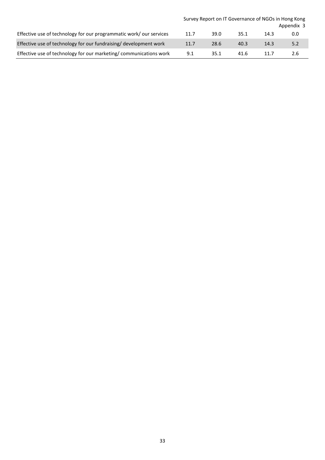|                                                                    | Survey Report on IT Governance of NGOs in Hong Kong<br>Appendix 3 |      |      |      |     |  |  |  |
|--------------------------------------------------------------------|-------------------------------------------------------------------|------|------|------|-----|--|--|--|
| Effective use of technology for our programmatic work/our services | 11.7                                                              | 39.0 | 35.1 | 14.3 | 0.0 |  |  |  |
| Effective use of technology for our fundraising/ development work  | 11.7                                                              | 28.6 | 40.3 | 14.3 | 5.2 |  |  |  |
| Effective use of technology for our marketing/communications work  | 9.1                                                               | 35.1 | 41.6 | 11.7 | 2.6 |  |  |  |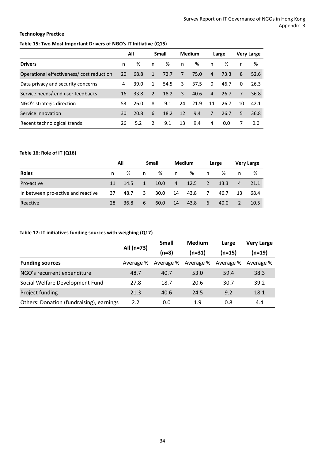# **Technology Practice**

# <span id="page-36-0"></span>**Table 15: Two Most Important Drivers of NGO's IT Initiative (Q15)**

|                                          | All |      | Small          |      | <b>Medium</b> |      | Large          |      | <b>Very Large</b> |      |
|------------------------------------------|-----|------|----------------|------|---------------|------|----------------|------|-------------------|------|
| <b>Drivers</b>                           | n   | %    | n              | %    | n             | %    | n              | ℅    | n                 | ℅    |
| Operational effectiveness/cost reduction | 20  | 68.8 | 1              | 72.7 | 7             | 75.0 | $\overline{4}$ | 73.3 | 8                 | 52.6 |
| Data privacy and security concerns       | 4   | 39.0 | $\mathbf{1}$   | 54.5 | 3             | 37.5 | $\Omega$       | 46.7 | 0                 | 26.3 |
| Service needs/end user feedbacks         | 16  | 33.8 | $\overline{2}$ | 18.2 | 3             | 40.6 | 4              | 26.7 | 7                 | 36.8 |
| NGO's strategic direction                | 53  | 26.0 | 8              | 9.1  | 24            | 21.9 | 11             | 26.7 | 10                | 42.1 |
| Service innovation                       | 30  | 20.8 | 6              | 18.2 | 12            | 9.4  | $\overline{7}$ | 26.7 | 5.                | 36.8 |
| Recent technological trends              | 26  | 5.2  | $\mathcal{L}$  | 9.1  | 13            | 9.4  | 4              | 0.0  | 7                 | 0.0  |

#### <span id="page-36-1"></span>**Table 16: Role of IT (Q16)**

|                                    | All |      | Small      |      | Medium         |      | Large           |      | <b>Very Large</b> |      |
|------------------------------------|-----|------|------------|------|----------------|------|-----------------|------|-------------------|------|
| <b>Roles</b>                       | n.  | %    | n          | %    | n.             | %    | n               | %    | n                 | %    |
| Pro-active                         | 11  | 14.5 | $\sqrt{1}$ | 10.0 | 4 <sub>7</sub> | 12.5 | $\sim$ 2 $\sim$ | 13.3 | $\overline{4}$    | 21.1 |
| In between pro-active and reactive | 37  | 48.7 | 3          | 30.0 | 14             | 43.8 | 7               | 46.7 | 13                | 68.4 |
| Reactive                           | 28  | 36.8 | 6          | 60.0 | 14             | 43.8 | -67             | 40.0 | <sup>2</sup>      | 10.5 |

#### <span id="page-36-2"></span>**Table 17: IT initiatives funding sources with weighing (Q17)**

|                                          |            | Small     | <b>Medium</b> | Large     | <b>Very Large</b> |  |
|------------------------------------------|------------|-----------|---------------|-----------|-------------------|--|
|                                          | All (n=73) | (n=8)     | $(n=31)$      | $(n=15)$  | $(n=19)$          |  |
| <b>Funding sources</b>                   | Average %  | Average % | Average %     | Average % | Average %         |  |
| NGO's recurrent expenditure              | 48.7       | 40.7      | 53.0          | 59.4      | 38.3              |  |
| Social Welfare Development Fund          | 27.8       | 18.7      | 20.6          | 30.7      | 39.2              |  |
| Project funding                          | 21.3       | 40.6      | 24.5          | 9.2       | 18.1              |  |
| Others: Donation (fundraising), earnings | 2.2        | 0.0       | 1.9           | 0.8       | 4.4               |  |